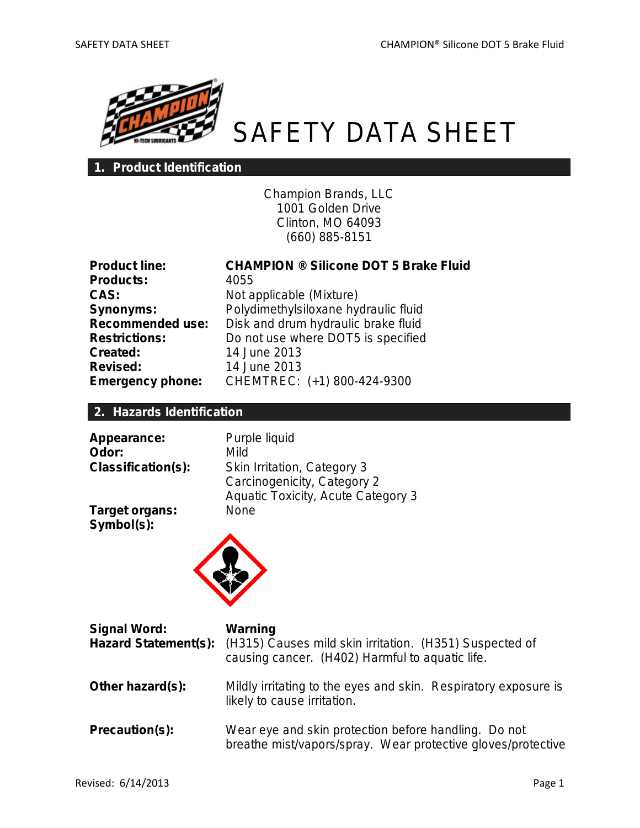

# SAFETY DATA SHEET

### **1. Product Identification**

Champion Brands, LLC 1001 Golden Drive Clinton, MO 64093 (660) 885-8151

| <b>Products:</b><br>CAS:<br><b>Synonyms:</b><br><b>Recommended use:</b><br><b>Restrictions:</b><br>Created:<br><b>Revised:</b><br><b>Emergency phone:</b> | <b>Product line:</b> |  |
|-----------------------------------------------------------------------------------------------------------------------------------------------------------|----------------------|--|
|                                                                                                                                                           |                      |  |
|                                                                                                                                                           |                      |  |
|                                                                                                                                                           |                      |  |
|                                                                                                                                                           |                      |  |
|                                                                                                                                                           |                      |  |
|                                                                                                                                                           |                      |  |
|                                                                                                                                                           |                      |  |
|                                                                                                                                                           |                      |  |

**Product line: CHAMPION ® Silicone DOT 5 Brake Fluid Products:** 4055 Not applicable (Mixture) **Synonyms:** Polydimethylsiloxane hydraulic fluid Disk and drum hydraulic brake fluid Do not use where DOT5 is specified **Created:** 14 June 2013 **Revised:** 14 June 2013 **Emergency phone:** CHEMTREC: (+1) 800-424-9300

### **2. Hazards Identification**

| Appearance:               | Purple liquid                             |
|---------------------------|-------------------------------------------|
| Odor:                     | Mild                                      |
| <b>Classification(s):</b> | Skin Irritation, Category 3               |
|                           | Carcinogenicity, Category 2               |
|                           | <b>Aquatic Toxicity, Acute Category 3</b> |
| Target organs:            | <b>None</b>                               |

**Symbol(s):**



| <b>Signal Word:</b><br><b>Hazard Statement(s):</b> | Warning<br>(H315) Causes mild skin irritation. (H351) Suspected of<br>causing cancer. (H402) Harmful to aquatic life. |
|----------------------------------------------------|-----------------------------------------------------------------------------------------------------------------------|
| Other hazard(s):                                   | Mildly irritating to the eyes and skin. Respiratory exposure is<br>likely to cause irritation.                        |
| Precaution(s):                                     | Wear eye and skin protection before handling. Do not<br>breathe mist/vapors/spray. Wear protective gloves/protective  |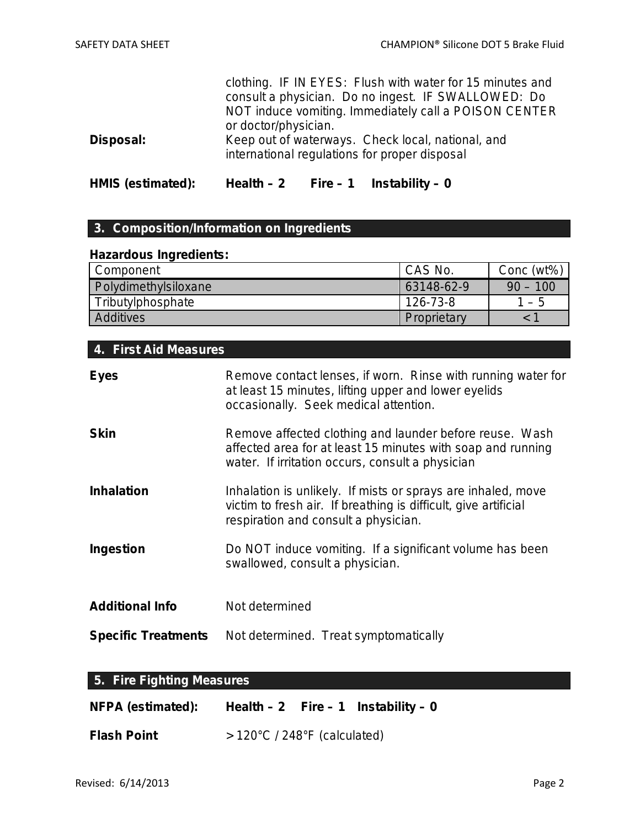|           | clothing. IF IN EYES: Flush with water for 15 minutes and                                          |
|-----------|----------------------------------------------------------------------------------------------------|
|           | consult a physician. Do no ingest. IF SWALLOWED: Do                                                |
|           | NOT induce vomiting. Immediately call a POISON CENTER                                              |
|           | or doctor/physician.                                                                               |
| Disposal: | Keep out of waterways. Check local, national, and<br>international regulations for proper disposal |
|           |                                                                                                    |

**HMIS (estimated): Health – 2 Fire – 1 Instability – 0**

# **3. Composition/Information on Ingredients**

### **Hazardous Ingredients:**

| Component            | CAS No.     | Conc $(wt\%)$ |
|----------------------|-------------|---------------|
| Polydimethylsiloxane | 63148-62-9  | $90 - 100$    |
| Tributylphosphate    | 126-73-8    | l – 5         |
| <b>Additives</b>     | Proprietary |               |

| <b>4. First Aid Measures</b> |                                                                                                                                                                            |  |
|------------------------------|----------------------------------------------------------------------------------------------------------------------------------------------------------------------------|--|
| <b>Eyes</b>                  | Remove contact lenses, if worn. Rinse with running water for<br>at least 15 minutes, lifting upper and lower eyelids<br>occasionally. Seek medical attention.              |  |
| <b>Skin</b>                  | Remove affected clothing and launder before reuse. Wash<br>affected area for at least 15 minutes with soap and running<br>water. If irritation occurs, consult a physician |  |
| <b>Inhalation</b>            | Inhalation is unlikely. If mists or sprays are inhaled, move<br>victim to fresh air. If breathing is difficult, give artificial<br>respiration and consult a physician.    |  |
| Ingestion                    | Do NOT induce vomiting. If a significant volume has been<br>swallowed, consult a physician.                                                                                |  |
| <b>Additional Info</b>       | Not determined                                                                                                                                                             |  |
| <b>Specific Treatments</b>   | Not determined. Treat symptomatically                                                                                                                                      |  |

# **5. Fire Fighting Measures**

| <b>NFPA (estimated):</b> |                                                  | Health $-2$ Fire $-1$ Instability $-0$ |
|--------------------------|--------------------------------------------------|----------------------------------------|
| <b>Flash Point</b>       | $>120^{\circ}$ C / 248 $^{\circ}$ F (calculated) |                                        |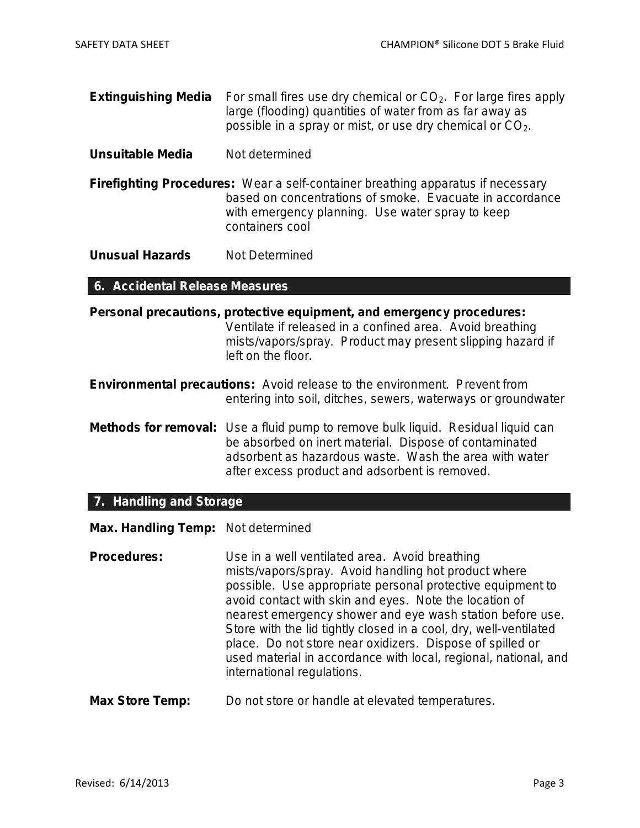- **Extinguishing Media** For small fires use dry chemical or CO<sub>2</sub>. For large fires apply large (flooding) quantities of water from as far away as possible in a spray or mist, or use dry chemical or  $CO<sub>2</sub>$ .
- **Unsuitable Media** Not determined
- **Firefighting Procedures:** Wear a self-container breathing apparatus if necessary based on concentrations of smoke. Evacuate in accordance with emergency planning. Use water spray to keep containers cool

**Unusual Hazards** Not Determined

#### **6. Accidental Release Measures**

**Personal precautions, protective equipment, and emergency procedures:**  Ventilate if released in a confined area. Avoid breathing mists/vapors/spray. Product may present slipping hazard if left on the floor.

- **Environmental precautions:** Avoid release to the environment. Prevent from entering into soil, ditches, sewers, waterways or groundwater
- **Methods for removal:** Use a fluid pump to remove bulk liquid. Residual liquid can be absorbed on inert material. Dispose of contaminated adsorbent as hazardous waste. Wash the area with water after excess product and adsorbent is removed.

### **7. Handling and Storage**

**Max. Handling Temp:** Not determined

- **Procedures:** Use in a well ventilated area. Avoid breathing mists/vapors/spray. Avoid handling hot product where possible. Use appropriate personal protective equipment to avoid contact with skin and eyes. Note the location of nearest emergency shower and eye wash station before use. Store with the lid tightly closed in a cool, dry, well-ventilated place. Do not store near oxidizers. Dispose of spilled or used material in accordance with local, regional, national, and international regulations.
- **Max Store Temp:** Do not store or handle at elevated temperatures.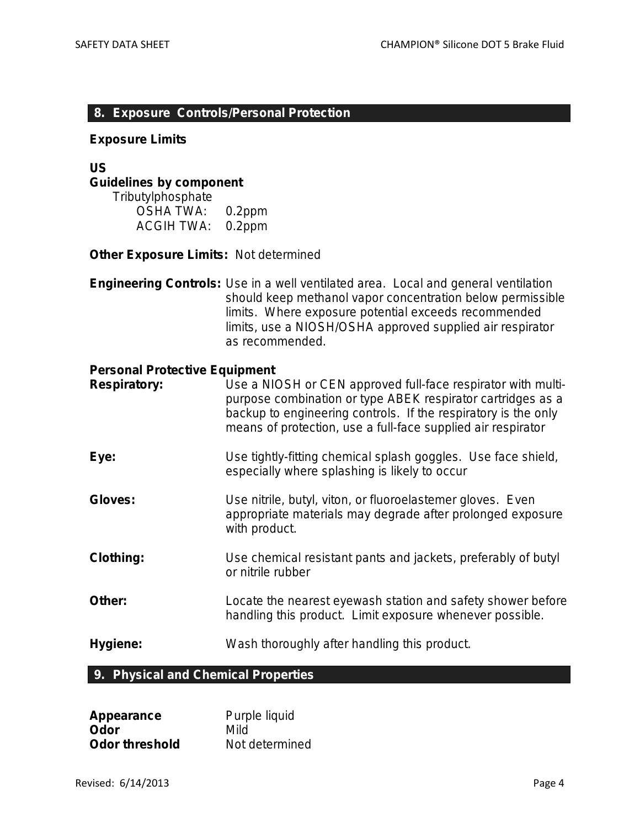#### **8. Exposure Controls/Personal Protection**

#### **Exposure Limits**

### **US Guidelines by component** *Tributylphosphate* OSHA TWA: 0.2ppm ACGIH TWA: 0.2ppm

**Other Exposure Limits:** Not determined

**Engineering Controls:** Use in a well ventilated area. Local and general ventilation should keep methanol vapor concentration below permissible limits. Where exposure potential exceeds recommended limits, use a NIOSH/OSHA approved supplied air respirator as recommended.

### **Personal Protective Equipment**

| <b>Respiratory:</b> | Use a NIOSH or CEN approved full-face respirator with multi-<br>purpose combination or type ABEK respirator cartridges as a<br>backup to engineering controls. If the respiratory is the only<br>means of protection, use a full-face supplied air respirator |
|---------------------|---------------------------------------------------------------------------------------------------------------------------------------------------------------------------------------------------------------------------------------------------------------|
| Eye:                | Use tightly-fitting chemical splash goggles. Use face shield,<br>especially where splashing is likely to occur                                                                                                                                                |
| Gloves:             | Use nitrile, butyl, viton, or fluoroelastemer gloves. Even<br>appropriate materials may degrade after prolonged exposure<br>with product.                                                                                                                     |
| Clothing:           | Use chemical resistant pants and jackets, preferably of butyl<br>or nitrile rubber                                                                                                                                                                            |
| Other:              | Locate the nearest eyewash station and safety shower before<br>handling this product. Limit exposure whenever possible.                                                                                                                                       |
| Hygiene:            | Wash thoroughly after handling this product.                                                                                                                                                                                                                  |

### **9. Physical and Chemical Properties**

| Appearance            | Purple liquid  |
|-----------------------|----------------|
| Odor                  | Mild           |
| <b>Odor threshold</b> | Not determined |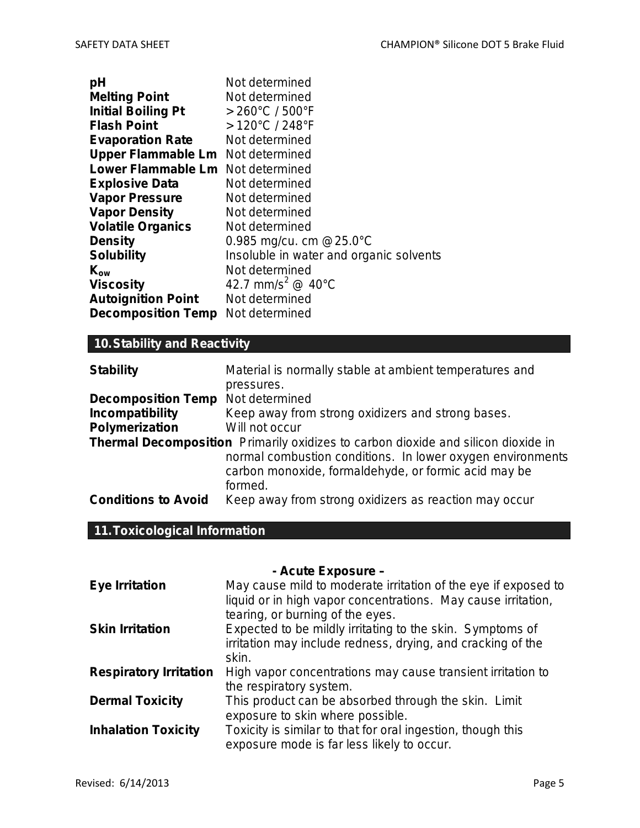| рH                                       | Not determined                          |
|------------------------------------------|-----------------------------------------|
| <b>Melting Point</b>                     | Not determined                          |
| <b>Initial Boiling Pt</b>                | $> 260^{\circ}$ C / 500 $^{\circ}$ F    |
| <b>Flash Point</b>                       | > 120°C / 248°F                         |
| <b>Evaporation Rate</b>                  | Not determined                          |
| <b>Upper Flammable Lm</b> Not determined |                                         |
| <b>Lower Flammable Lm</b> Not determined |                                         |
| <b>Explosive Data</b>                    | Not determined                          |
| <b>Vapor Pressure</b>                    | Not determined                          |
| <b>Vapor Density</b>                     | Not determined                          |
| <b>Volatile Organics</b>                 | Not determined                          |
| <b>Density</b>                           | 0.985 mg/cu. cm $@25.0^{\circ}$ C       |
| <b>Solubility</b>                        | Insoluble in water and organic solvents |
| $K_{ow}$                                 | Not determined                          |
| <b>Viscosity</b>                         | 42.7 mm/s <sup>2</sup> @ 40°C           |
| <b>Autoignition Point</b>                | Not determined                          |
| <b>Decomposition Temp</b> Not determined |                                         |

# **10.Stability and Reactivity**

| <b>Stability</b>           | Material is normally stable at ambient temperatures and<br>pressures.                                                                                                                                              |
|----------------------------|--------------------------------------------------------------------------------------------------------------------------------------------------------------------------------------------------------------------|
| <b>Decomposition Temp</b>  | Not determined                                                                                                                                                                                                     |
| Incompatibility            | Keep away from strong oxidizers and strong bases.                                                                                                                                                                  |
| Polymerization             | Will not occur                                                                                                                                                                                                     |
|                            | Thermal Decomposition Primarily oxidizes to carbon dioxide and silicon dioxide in<br>normal combustion conditions. In lower oxygen environments<br>carbon monoxide, formaldehyde, or formic acid may be<br>formed. |
| <b>Conditions to Avoid</b> | Keep away from strong oxidizers as reaction may occur                                                                                                                                                              |

# **11.Toxicological Information**

### **- Acute Exposure –**

| <b>Eye Irritation</b>         | May cause mild to moderate irritation of the eye if exposed to<br>liquid or in high vapor concentrations. May cause irritation,                                       |
|-------------------------------|-----------------------------------------------------------------------------------------------------------------------------------------------------------------------|
| <b>Skin Irritation</b>        | tearing, or burning of the eyes.<br>Expected to be mildly irritating to the skin. Symptoms of<br>irritation may include redness, drying, and cracking of the<br>skin. |
| <b>Respiratory Irritation</b> | High vapor concentrations may cause transient irritation to<br>the respiratory system.                                                                                |
| <b>Dermal Toxicity</b>        | This product can be absorbed through the skin. Limit<br>exposure to skin where possible.                                                                              |
| <b>Inhalation Toxicity</b>    | Toxicity is similar to that for oral ingestion, though this<br>exposure mode is far less likely to occur.                                                             |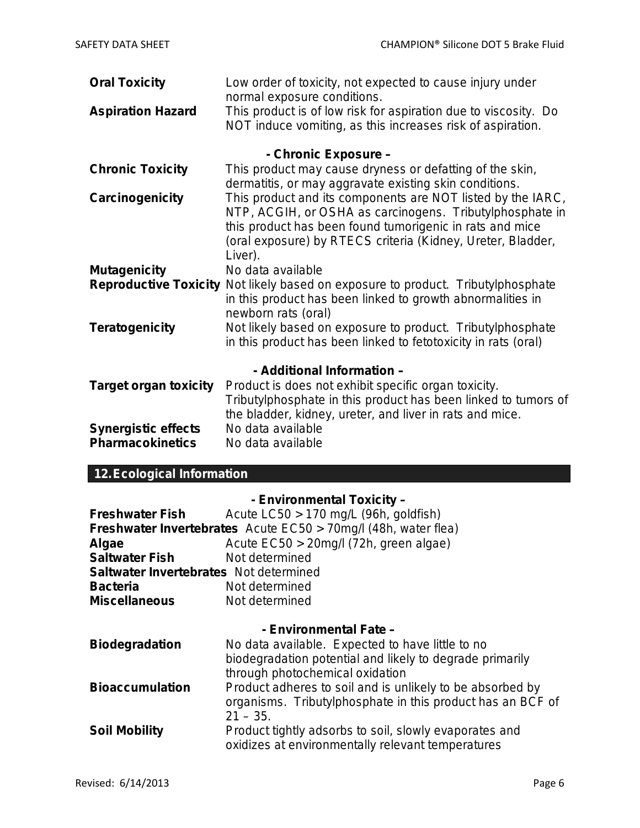| SAFETY DATA SHEET                                     | CHAMPION® Silicone DOT 5 Brake Fluid                                                                                                                                                                                                                          |
|-------------------------------------------------------|---------------------------------------------------------------------------------------------------------------------------------------------------------------------------------------------------------------------------------------------------------------|
| <b>Oral Toxicity</b>                                  | Low order of toxicity, not expected to cause injury under                                                                                                                                                                                                     |
| <b>Aspiration Hazard</b>                              | normal exposure conditions.<br>This product is of low risk for aspiration due to viscosity. Do<br>NOT induce vomiting, as this increases risk of aspiration.                                                                                                  |
|                                                       | - Chronic Exposure -                                                                                                                                                                                                                                          |
| <b>Chronic Toxicity</b>                               | This product may cause dryness or defatting of the skin,<br>dermatitis, or may aggravate existing skin conditions.                                                                                                                                            |
| <b>Carcinogenicity</b>                                | This product and its components are NOT listed by the IARC,<br>NTP, ACGIH, or OSHA as carcinogens. Tributylphosphate in<br>this product has been found tumorigenic in rats and mice<br>(oral exposure) by RTECS criteria (Kidney, Ureter, Bladder,<br>Liver). |
| <b>Mutagenicity</b>                                   | No data available                                                                                                                                                                                                                                             |
| <b>Reproductive Toxicity</b>                          | Not likely based on exposure to product. Tributylphosphate<br>in this product has been linked to growth abnormalities in<br>newborn rats (oral)                                                                                                               |
| <b>Teratogenicity</b>                                 | Not likely based on exposure to product. Tributylphosphate<br>in this product has been linked to fetotoxicity in rats (oral)                                                                                                                                  |
|                                                       | - Additional Information -                                                                                                                                                                                                                                    |
| <b>Target organ toxicity</b>                          | Product is does not exhibit specific organ toxicity.<br>Tributylphosphate in this product has been linked to tumors of<br>the bladder, kidney, ureter, and liver in rats and mice.                                                                            |
| <b>Synergistic effects</b><br><b>Pharmacokinetics</b> | No data available<br>No data available                                                                                                                                                                                                                        |

# **12.Ecological Information**

### **- Environmental Toxicity –**

| <b>Freshwater Fish</b>                                         | Acute $LC50 > 170$ mg/L (96h, goldfish)                    |  |  |  |
|----------------------------------------------------------------|------------------------------------------------------------|--|--|--|
| Freshwater Invertebrates Acute EC50 > 70mg/l (48h, water flea) |                                                            |  |  |  |
| Algae                                                          | Acute EC50 > 20mg/l (72h, green algae)                     |  |  |  |
| <b>Saltwater Fish</b>                                          | Not determined                                             |  |  |  |
| <b>Saltwater Invertebrates</b> Not determined                  |                                                            |  |  |  |
| <b>Bacteria</b>                                                | Not determined                                             |  |  |  |
| <b>Miscellaneous</b>                                           | Not determined                                             |  |  |  |
| - Environmental Fate -                                         |                                                            |  |  |  |
| <b>Biodegradation</b>                                          | No data available. Expected to have little to no           |  |  |  |
|                                                                | biodegradation potential and likely to degrade primarily   |  |  |  |
|                                                                | through photochemical oxidation                            |  |  |  |
| <b>Bioaccumulation</b>                                         | Product adheres to soil and is unlikely to be absorbed by  |  |  |  |
|                                                                | organisms. Tributylphosphate in this product has an BCF of |  |  |  |
|                                                                | $21 - 35.$                                                 |  |  |  |
| <b>Soil Mobility</b>                                           | Product tightly adsorbs to soil, slowly evaporates and     |  |  |  |
|                                                                | oxidizes at environmentally relevant temperatures          |  |  |  |
|                                                                |                                                            |  |  |  |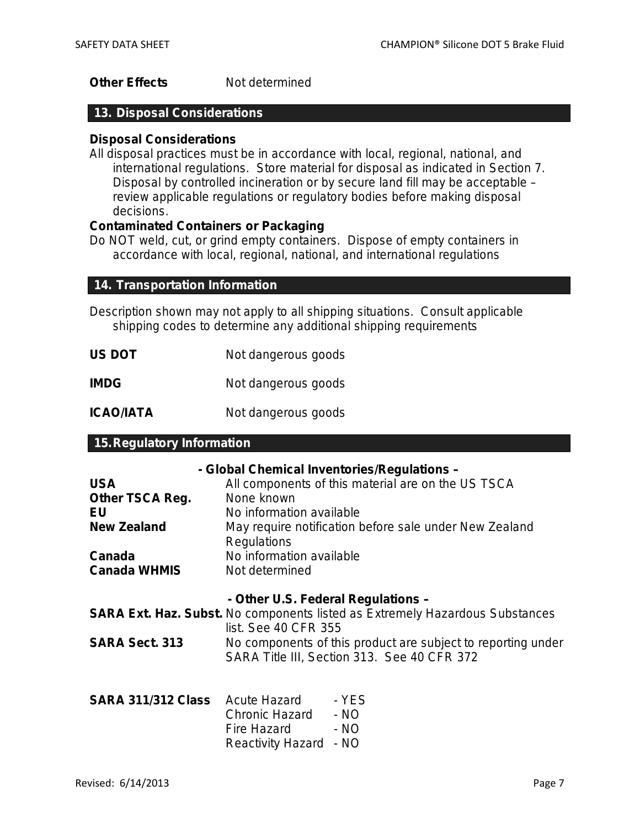### **Other Effects** Not determined

#### **13. Disposal Considerations**

#### **Disposal Considerations**

All disposal practices must be in accordance with local, regional, national, and international regulations. Store material for disposal as indicated in Section 7. Disposal by controlled incineration or by secure land fill may be acceptable – review applicable regulations or regulatory bodies before making disposal decisions.

### **Contaminated Containers or Packaging**

Do NOT weld, cut, or grind empty containers. Dispose of empty containers in accordance with local, regional, national, and international regulations

#### **14. Transportation Information**

Description shown may not apply to all shipping situations. Consult applicable shipping codes to determine any additional shipping requirements

| <b>US DOT</b>    | Not dangerous goods |
|------------------|---------------------|
| <b>IMDG</b>      | Not dangerous goods |
| <b>ICAO/IATA</b> | Not dangerous goods |

### **15.Regulatory Information**

|                                        |                                                                                                             | - Global Chemical Inventories/Regulations -            |  |
|----------------------------------------|-------------------------------------------------------------------------------------------------------------|--------------------------------------------------------|--|
| <b>USA</b>                             |                                                                                                             | All components of this material are on the US TSCA     |  |
| Other TSCA Reg.                        | None known                                                                                                  |                                                        |  |
| EU                                     | No information available                                                                                    |                                                        |  |
| <b>New Zealand</b>                     | <b>Regulations</b>                                                                                          | May require notification before sale under New Zealand |  |
| Canada                                 | No information available                                                                                    |                                                        |  |
| <b>Canada WHMIS</b>                    | Not determined                                                                                              |                                                        |  |
|                                        |                                                                                                             | - Other U.S. Federal Regulations -                     |  |
|                                        | <b>SARA Ext. Haz. Subst.</b> No components listed as Extremely Hazardous Substances<br>list. See 40 CFR 355 |                                                        |  |
| SARA Sect. 313                         | No components of this product are subject to reporting under<br>SARA Title III, Section 313. See 40 CFR 372 |                                                        |  |
| <b>SARA 311/312 Class</b> Acute Hazard |                                                                                                             | - YES                                                  |  |
|                                        | Chronic Hazard                                                                                              | $- NO$                                                 |  |
|                                        | Fire Hazard                                                                                                 | - NO                                                   |  |
|                                        |                                                                                                             |                                                        |  |

*Reactivity Hazard -* NO